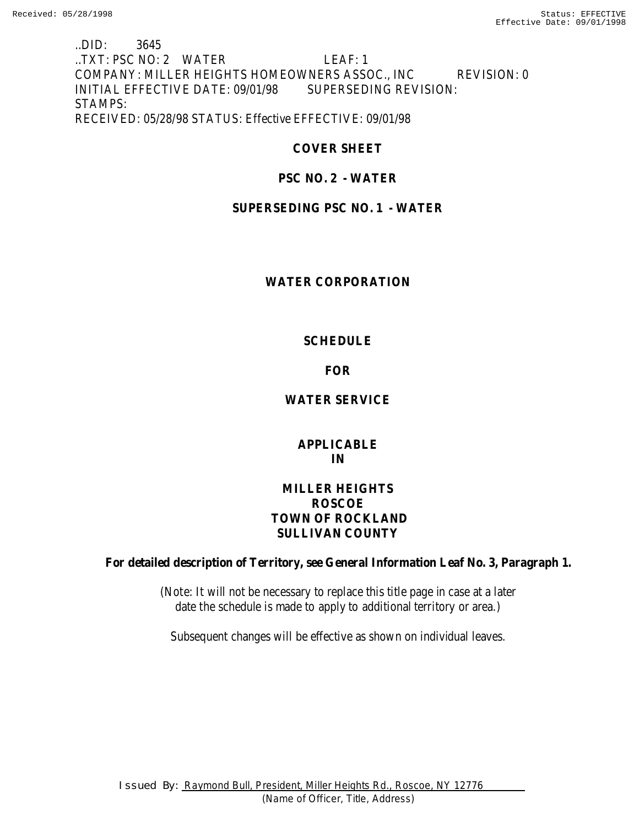..DID: 3645 ..TXT: PSC NO: 2 WATER LEAF: 1 COMPANY: MILLER HEIGHTS HOMEOWNERS ASSOC., INC REVISION: 0 INITIAL EFFECTIVE DATE: 09/01/98 SUPERSEDING REVISION: STAMPS: RECEIVED: 05/28/98 STATUS: Effective EFFECTIVE: 09/01/98

## **COVER SHEET**

## **PSC NO. 2 - WATER**

## **SUPERSEDING PSC NO. 1 - WATER**

### **WATER CORPORATION**

## **SCHEDULE**

## **FOR**

## **WATER SERVICE**

### **APPLICABLE IN**

## **MILLER HEIGHTS ROSCOE TOWN OF ROCKLAND SULLIVAN COUNTY**

**For detailed description of Territory, see General Information Leaf No. 3, Paragraph 1.**

(Note: It will not be necessary to replace this title page in case at a later date the schedule is made to apply to additional territory or area.)

Subsequent changes will be effective as shown on individual leaves.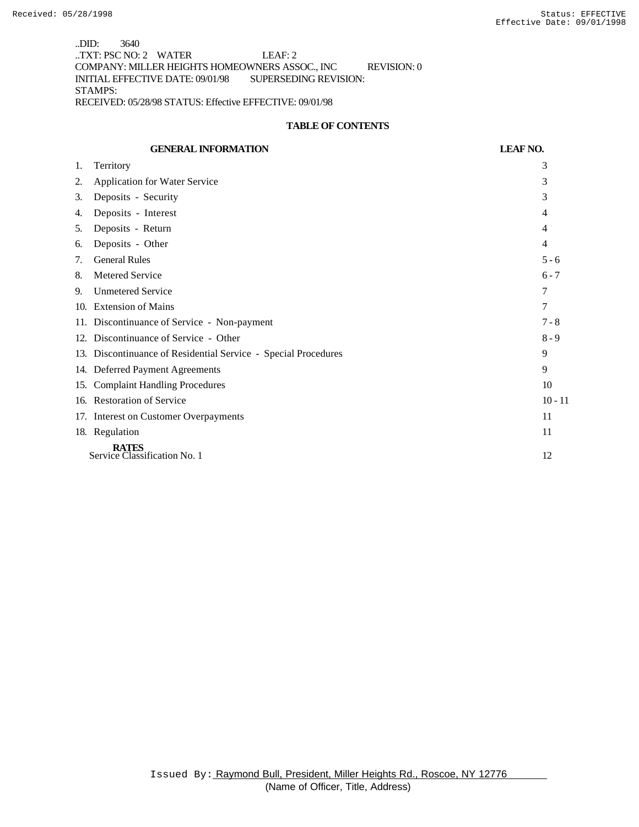..DID: 3640 ..TXT: PSC NO: 2 WATER LEAF: 2 COMPANY: MILLER HEIGHTS HOMEOWNERS ASSOC., INC REVISION: 0 INITIAL EFFECTIVE DATE: 09/01/98 SUPERSEDING REVISION: STAMPS: RECEIVED: 05/28/98 STATUS: Effective EFFECTIVE: 09/01/98

### **TABLE OF CONTENTS**

| <b>GENERAL INFORMATION</b>                   |                                                                | <b>LEAF NO.</b> |
|----------------------------------------------|----------------------------------------------------------------|-----------------|
| 1.                                           | Territory                                                      | 3               |
| 2.                                           | <b>Application for Water Service</b>                           | 3               |
| 3.                                           | Deposits - Security                                            | 3               |
| 4.                                           | Deposits - Interest                                            | 4               |
| 5.                                           | Deposits - Return                                              | 4               |
| 6.                                           | Deposits - Other                                               | 4               |
| 7.                                           | <b>General Rules</b>                                           | $5 - 6$         |
| 8.                                           | Metered Service                                                | $6 - 7$         |
| 9.                                           | <b>Unmetered Service</b>                                       | 7               |
|                                              | 10. Extension of Mains                                         | 7               |
|                                              | 11. Discontinuance of Service - Non-payment                    | $7 - 8$         |
|                                              | 12. Discontinuance of Service - Other                          | $8 - 9$         |
|                                              | 13. Discontinuance of Residential Service - Special Procedures | 9               |
|                                              | 14. Deferred Payment Agreements                                | 9               |
|                                              | 15. Complaint Handling Procedures                              | 10              |
|                                              | 16. Restoration of Service                                     | $10 - 11$       |
|                                              | 17. Interest on Customer Overpayments                          | 11              |
|                                              | 18. Regulation                                                 | 11              |
| <b>RATES</b><br>Service Classification No. 1 |                                                                | 12              |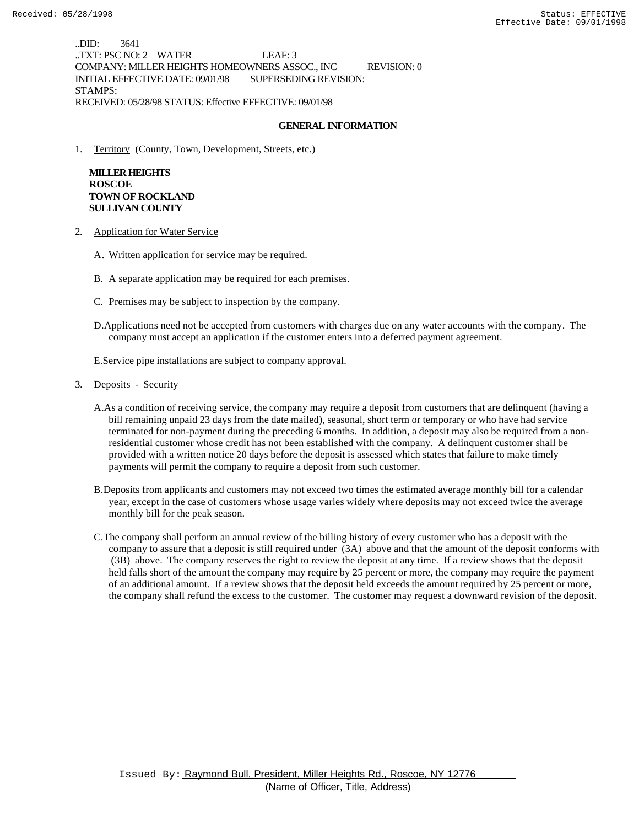..DID: 3641 ..TXT: PSC NO: 2 WATER LEAF: 3 COMPANY: MILLER HEIGHTS HOMEOWNERS ASSOC., INC REVISION: 0 INITIAL EFFECTIVE DATE: 09/01/98 SUPERSEDING REVISION: STAMPS: RECEIVED: 05/28/98 STATUS: Effective EFFECTIVE: 09/01/98

### **GENERAL INFORMATION**

1. Territory (County, Town, Development, Streets, etc.)

 **MILLER HEIGHTS ROSCOE TOWN OF ROCKLAND SULLIVAN COUNTY**

- 2. Application for Water Service
	- A. Written application for service may be required.
	- B. A separate application may be required for each premises.
	- C. Premises may be subject to inspection by the company.
	- D.Applications need not be accepted from customers with charges due on any water accounts with the company. The company must accept an application if the customer enters into a deferred payment agreement.

E.Service pipe installations are subject to company approval.

- 3. Deposits Security
	- A.As a condition of receiving service, the company may require a deposit from customers that are delinquent (having a bill remaining unpaid 23 days from the date mailed), seasonal, short term or temporary or who have had service terminated for non-payment during the preceding 6 months. In addition, a deposit may also be required from a nonresidential customer whose credit has not been established with the company. A delinquent customer shall be provided with a written notice 20 days before the deposit is assessed which states that failure to make timely payments will permit the company to require a deposit from such customer.
	- B.Deposits from applicants and customers may not exceed two times the estimated average monthly bill for a calendar year, except in the case of customers whose usage varies widely where deposits may not exceed twice the average monthly bill for the peak season.
	- C.The company shall perform an annual review of the billing history of every customer who has a deposit with the company to assure that a deposit is still required under (3A) above and that the amount of the deposit conforms with (3B) above. The company reserves the right to review the deposit at any time. If a review shows that the deposit held falls short of the amount the company may require by 25 percent or more, the company may require the payment of an additional amount. If a review shows that the deposit held exceeds the amount required by 25 percent or more, the company shall refund the excess to the customer. The customer may request a downward revision of the deposit.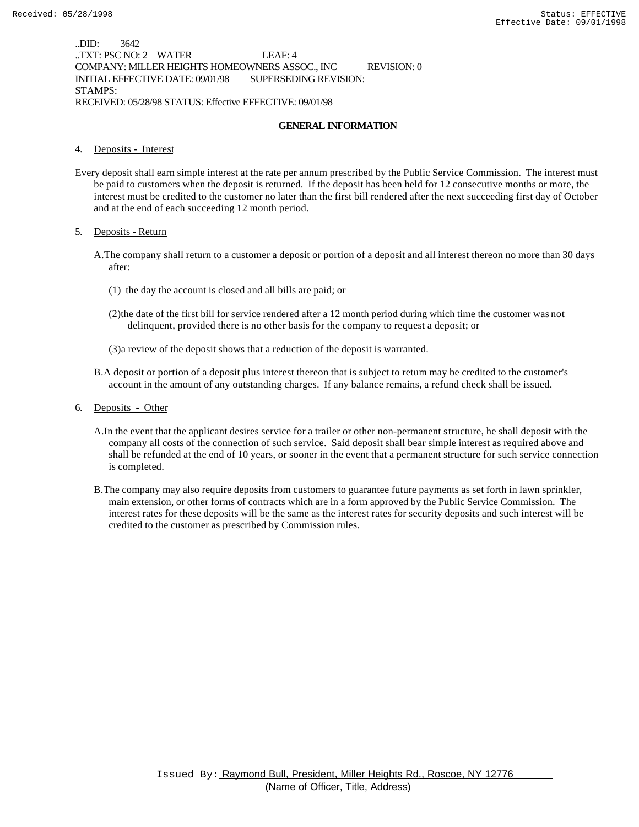..DID: 3642 ..TXT: PSC NO: 2 WATER LEAF: 4 COMPANY: MILLER HEIGHTS HOMEOWNERS ASSOC., INC REVISION: 0 INITIAL EFFECTIVE DATE: 09/01/98 SUPERSEDING REVISION: STAMPS: RECEIVED: 05/28/98 STATUS: Effective EFFECTIVE: 09/01/98

### **GENERAL INFORMATION**

### 4. Deposits - Interest

Every deposit shall earn simple interest at the rate per annum prescribed by the Public Service Commission. The interest must be paid to customers when the deposit is returned. If the deposit has been held for 12 consecutive months or more, the interest must be credited to the customer no later than the first bill rendered after the next succeeding first day of October and at the end of each succeeding 12 month period.

### 5. Deposits - Return

- A.The company shall return to a customer a deposit or portion of a deposit and all interest thereon no more than 30 days after:
	- (1) the day the account is closed and all bills are paid; or
	- (2)the date of the first bill for service rendered after a 12 month period during which time the customer was not delinquent, provided there is no other basis for the company to request a deposit; or
	- (3)a review of the deposit shows that a reduction of the deposit is warranted.
- B.A deposit or portion of a deposit plus interest thereon that is subject to return may be credited to the customer's account in the amount of any outstanding charges. If any balance remains, a refund check shall be issued.
- 6. Deposits Other
	- A.In the event that the applicant desires service for a trailer or other non-permanent structure, he shall deposit with the company all costs of the connection of such service. Said deposit shall bear simple interest as required above and shall be refunded at the end of 10 years, or sooner in the event that a permanent structure for such service connection is completed.
	- B.The company may also require deposits from customers to guarantee future payments as set forth in lawn sprinkler, main extension, or other forms of contracts which are in a form approved by the Public Service Commission. The interest rates for these deposits will be the same as the interest rates for security deposits and such interest will be credited to the customer as prescribed by Commission rules.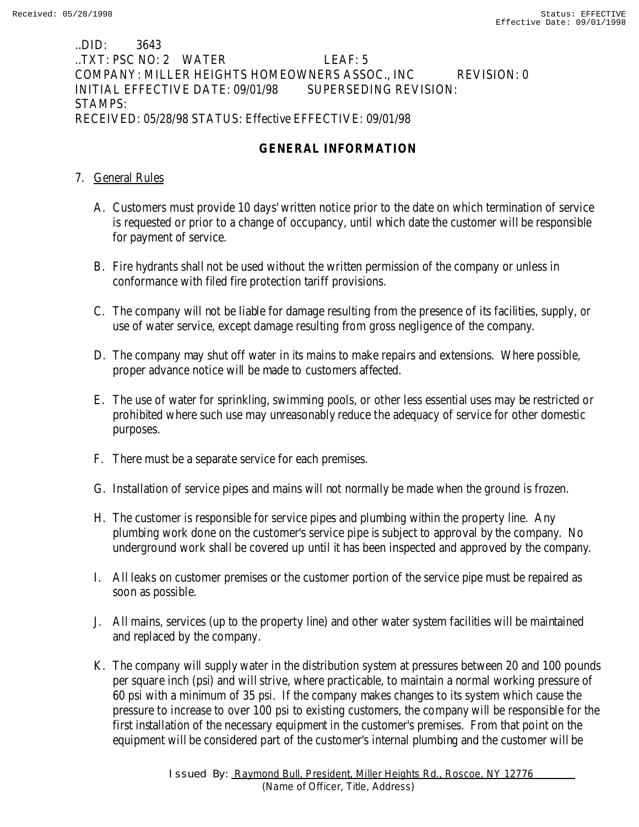## ..DID: 3643 ..TXT: PSC NO: 2 WATER LEAF: 5 COMPANY: MILLER HEIGHTS HOMEOWNERS ASSOC., INC REVISION: 0 INITIAL EFFECTIVE DATE: 09/01/98 SUPERSEDING REVISION: STAMPS: RECEIVED: 05/28/98 STATUS: Effective EFFECTIVE: 09/01/98

# **GENERAL INFORMATION**

## 7. General Rules

- A. Customers must provide 10 days' written notice prior to the date on which termination of service is requested or prior to a change of occupancy, until which date the customer will be responsible for payment of service.
- B. Fire hydrants shall not be used without the written permission of the company or unless in conformance with filed fire protection tariff provisions.
- C. The company will not be liable for damage resulting from the presence of its facilities, supply, or use of water service, except damage resulting from gross negligence of the company.
- D. The company may shut off water in its mains to make repairs and extensions. Where possible, proper advance notice will be made to customers affected.
- E. The use of water for sprinkling, swimming pools, or other less essential uses may be restricted or prohibited where such use may unreasonably reduce the adequacy of service for other domestic purposes.
- F. There must be a separate service for each premises.
- G. Installation of service pipes and mains will not normally be made when the ground is frozen.
- H. The customer is responsible for service pipes and plumbing within the property line. Any plumbing work done on the customer's service pipe is subject to approval by the company. No underground work shall be covered up until it has been inspected and approved by the company.
- I. All leaks on customer premises or the customer portion of the service pipe must be repaired as soon as possible.
- J. All mains, services (up to the property line) and other water system facilities will be maintained and replaced by the company.
- K. The company will supply water in the distribution system at pressures between 20 and 100 pounds per square inch (psi) and will strive, where practicable, to maintain a normal working pressure of 60 psi with a minimum of 35 psi. If the company makes changes to its system which cause the pressure to increase to over 100 psi to existing customers, the company will be responsible for the first installation of the necessary equipment in the customer's premises. From that point on the equipment will be considered part of the customer's internal plumbing and the customer will be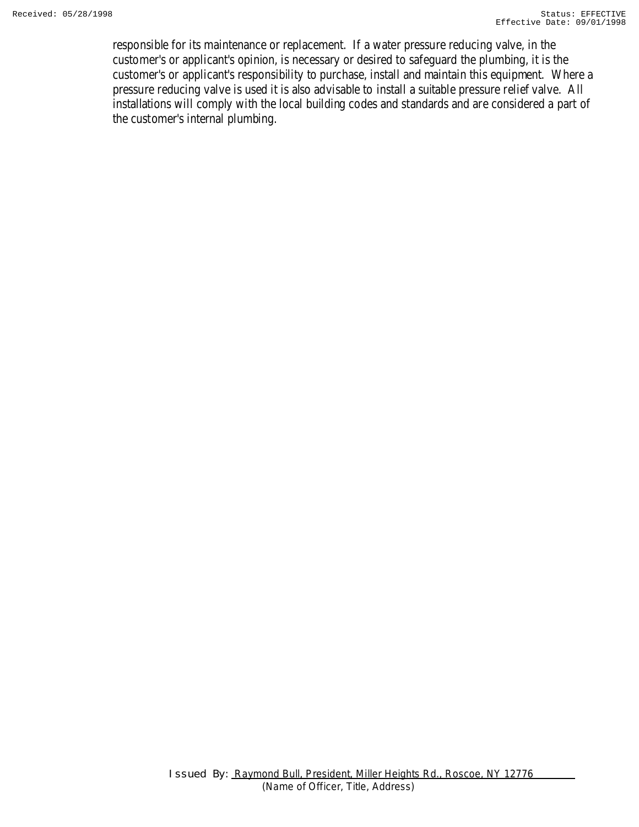responsible for its maintenance or replacement. If a water pressure reducing valve, in the customer's or applicant's opinion, is necessary or desired to safeguard the plumbing, it is the customer's or applicant's responsibility to purchase, install and maintain this equipment. Where a pressure reducing valve is used it is also advisable to install a suitable pressure relief valve. All installations will comply with the local building codes and standards and are considered a part of the customer's internal plumbing.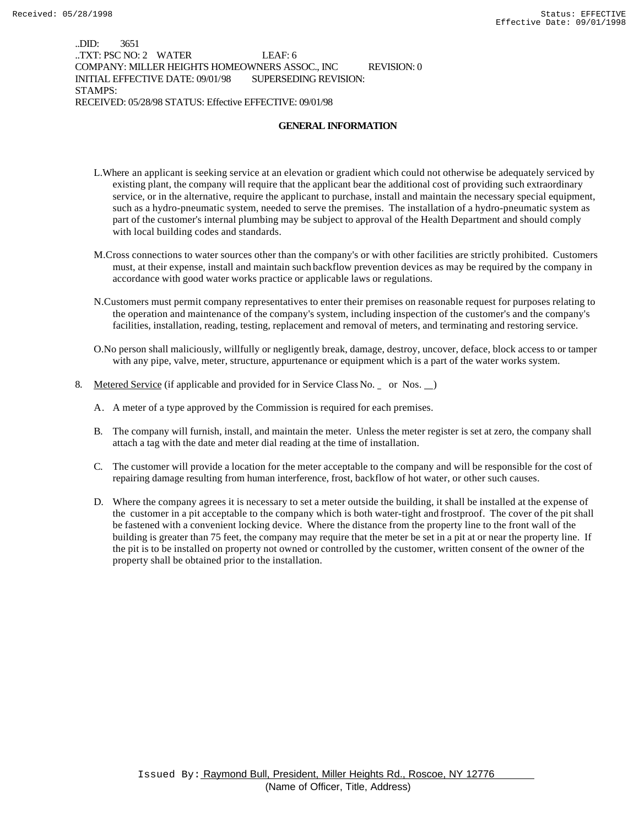..DID: 3651 ..TXT: PSC NO: 2 WATER LEAF: 6 COMPANY: MILLER HEIGHTS HOMEOWNERS ASSOC., INC REVISION: 0 INITIAL EFFECTIVE DATE: 09/01/98 SUPERSEDING REVISION: STAMPS: RECEIVED: 05/28/98 STATUS: Effective EFFECTIVE: 09/01/98

### **GENERAL INFORMATION**

- L.Where an applicant is seeking service at an elevation or gradient which could not otherwise be adequately serviced by existing plant, the company will require that the applicant bear the additional cost of providing such extraordinary service, or in the alternative, require the applicant to purchase, install and maintain the necessary special equipment, such as a hydro-pneumatic system, needed to serve the premises. The installation of a hydro-pneumatic system as part of the customer's internal plumbing may be subject to approval of the Health Department and should comply with local building codes and standards.
- M.Cross connections to water sources other than the company's or with other facilities are strictly prohibited. Customers must, at their expense, install and maintain such backflow prevention devices as may be required by the company in accordance with good water works practice or applicable laws or regulations.
- N.Customers must permit company representatives to enter their premises on reasonable request for purposes relating to the operation and maintenance of the company's system, including inspection of the customer's and the company's facilities, installation, reading, testing, replacement and removal of meters, and terminating and restoring service.
- O.No person shall maliciously, willfully or negligently break, damage, destroy, uncover, deface, block access to or tamper with any pipe, valve, meter, structure, appurtenance or equipment which is a part of the water works system.
- 8. Metered Service (if applicable and provided for in Service Class No. \_ or Nos. \_)
	- A. A meter of a type approved by the Commission is required for each premises.
	- B. The company will furnish, install, and maintain the meter. Unless the meter register is set at zero, the company shall attach a tag with the date and meter dial reading at the time of installation.
	- C. The customer will provide a location for the meter acceptable to the company and will be responsible for the cost of repairing damage resulting from human interference, frost, backflow of hot water, or other such causes.
	- D. Where the company agrees it is necessary to set a meter outside the building, it shall be installed at the expense of the customer in a pit acceptable to the company which is both water-tight and frostproof. The cover of the pit shall be fastened with a convenient locking device. Where the distance from the property line to the front wall of the building is greater than 75 feet, the company may require that the meter be set in a pit at or near the property line. If the pit is to be installed on property not owned or controlled by the customer, written consent of the owner of the property shall be obtained prior to the installation.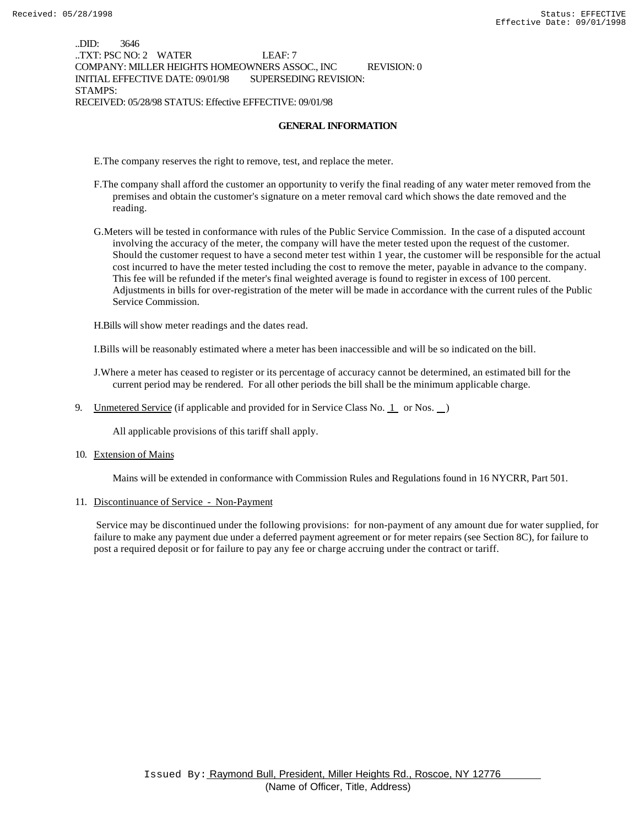..DID: 3646 ..TXT: PSC NO: 2 WATER LEAF: 7 COMPANY: MILLER HEIGHTS HOMEOWNERS ASSOC., INC REVISION: 0 INITIAL EFFECTIVE DATE: 09/01/98 SUPERSEDING REVISION: STAMPS: RECEIVED: 05/28/98 STATUS: Effective EFFECTIVE: 09/01/98

### **GENERAL INFORMATION**

E.The company reserves the right to remove, test, and replace the meter.

- F.The company shall afford the customer an opportunity to verify the final reading of any water meter removed from the premises and obtain the customer's signature on a meter removal card which shows the date removed and the reading.
- G.Meters will be tested in conformance with rules of the Public Service Commission. In the case of a disputed account involving the accuracy of the meter, the company will have the meter tested upon the request of the customer. Should the customer request to have a second meter test within 1 year, the customer will be responsible for the actual cost incurred to have the meter tested including the cost to remove the meter, payable in advance to the company. This fee will be refunded if the meter's final weighted average is found to register in excess of 100 percent. Adjustments in bills for over-registration of the meter will be made in accordance with the current rules of the Public Service Commission.

H.Bills will show meter readings and the dates read.

I.Bills will be reasonably estimated where a meter has been inaccessible and will be so indicated on the bill.

- J.Where a meter has ceased to register or its percentage of accuracy cannot be determined, an estimated bill for the current period may be rendered. For all other periods the bill shall be the minimum applicable charge.
- 9. Unmetered Service (if applicable and provided for in Service Class No.  $1$  or Nos.  $\Box$ )

All applicable provisions of this tariff shall apply.

10. Extension of Mains

Mains will be extended in conformance with Commission Rules and Regulations found in 16 NYCRR, Part 501.

11. Discontinuance of Service - Non-Payment

 Service may be discontinued under the following provisions: for non-payment of any amount due for water supplied, for failure to make any payment due under a deferred payment agreement or for meter repairs (see Section 8C), for failure to post a required deposit or for failure to pay any fee or charge accruing under the contract or tariff.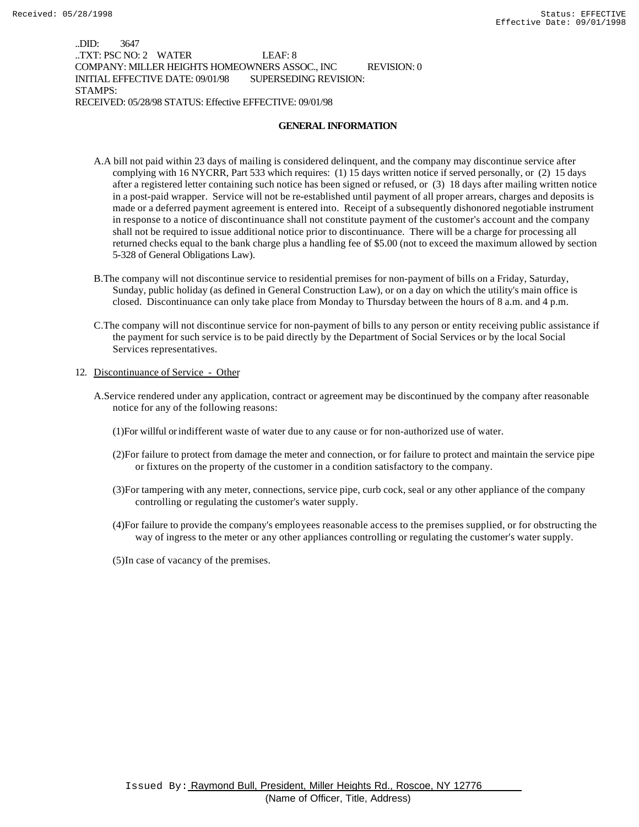..DID: 3647 ..TXT: PSC NO: 2 WATER LEAF: 8 COMPANY: MILLER HEIGHTS HOMEOWNERS ASSOC., INC REVISION: 0 INITIAL EFFECTIVE DATE: 09/01/98 SUPERSEDING REVISION: STAMPS: RECEIVED: 05/28/98 STATUS: Effective EFFECTIVE: 09/01/98

### **GENERAL INFORMATION**

- A.A bill not paid within 23 days of mailing is considered delinquent, and the company may discontinue service after complying with 16 NYCRR, Part 533 which requires: (1) 15 days written notice if served personally, or (2) 15 days after a registered letter containing such notice has been signed or refused, or (3) 18 days after mailing written notice in a post-paid wrapper. Service will not be re-established until payment of all proper arrears, charges and deposits is made or a deferred payment agreement is entered into. Receipt of a subsequently dishonored negotiable instrument in response to a notice of discontinuance shall not constitute payment of the customer's account and the company shall not be required to issue additional notice prior to discontinuance. There will be a charge for processing all returned checks equal to the bank charge plus a handling fee of \$5.00 (not to exceed the maximum allowed by section 5-328 of General Obligations Law).
- B.The company will not discontinue service to residential premises for non-payment of bills on a Friday, Saturday, Sunday, public holiday (as defined in General Construction Law), or on a day on which the utility's main office is closed. Discontinuance can only take place from Monday to Thursday between the hours of 8 a.m. and 4 p.m.
- C.The company will not discontinue service for non-payment of bills to any person or entity receiving public assistance if the payment for such service is to be paid directly by the Department of Social Services or by the local Social Services representatives.

### 12. Discontinuance of Service - Other

- A.Service rendered under any application, contract or agreement may be discontinued by the company after reasonable notice for any of the following reasons:
	- (1)For willful or indifferent waste of water due to any cause or for non-authorized use of water.
	- (2)For failure to protect from damage the meter and connection, or for failure to protect and maintain the service pipe or fixtures on the property of the customer in a condition satisfactory to the company.
	- (3)For tampering with any meter, connections, service pipe, curb cock, seal or any other appliance of the company controlling or regulating the customer's water supply.
	- (4)For failure to provide the company's employees reasonable access to the premises supplied, or for obstructing the way of ingress to the meter or any other appliances controlling or regulating the customer's water supply.
	- (5)In case of vacancy of the premises.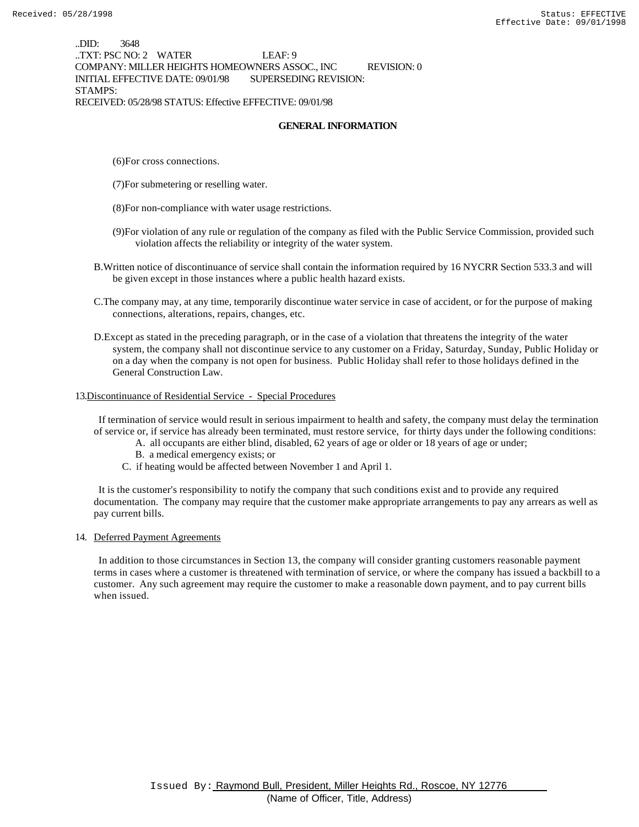..DID: 3648 ..TXT: PSC NO: 2 WATER LEAF: 9 COMPANY: MILLER HEIGHTS HOMEOWNERS ASSOC., INC REVISION: 0 INITIAL EFFECTIVE DATE: 09/01/98 SUPERSEDING REVISION: STAMPS: RECEIVED: 05/28/98 STATUS: Effective EFFECTIVE: 09/01/98

### **GENERAL INFORMATION**

- (6)For cross connections.
- (7)For submetering or reselling water.
- (8)For non-compliance with water usage restrictions.
- (9)For violation of any rule or regulation of the company as filed with the Public Service Commission, provided such violation affects the reliability or integrity of the water system.
- B.Written notice of discontinuance of service shall contain the information required by 16 NYCRR Section 533.3 and will be given except in those instances where a public health hazard exists.
- C.The company may, at any time, temporarily discontinue water service in case of accident, or for the purpose of making connections, alterations, repairs, changes, etc.
- D.Except as stated in the preceding paragraph, or in the case of a violation that threatens the integrity of the water system, the company shall not discontinue service to any customer on a Friday, Saturday, Sunday, Public Holiday or on a day when the company is not open for business. Public Holiday shall refer to those holidays defined in the General Construction Law.

#### 13.Discontinuance of Residential Service - Special Procedures

 If termination of service would result in serious impairment to health and safety, the company must delay the termination of service or, if service has already been terminated, must restore service, for thirty days under the following conditions:

- A. all occupants are either blind, disabled, 62 years of age or older or 18 years of age or under;
	- B. a medical emergency exists; or
- C. if heating would be affected between November 1 and April 1.

 It is the customer's responsibility to notify the company that such conditions exist and to provide any required documentation. The company may require that the customer make appropriate arrangements to pay any arrears as well as pay current bills.

### 14. Deferred Payment Agreements

 In addition to those circumstances in Section 13, the company will consider granting customers reasonable payment terms in cases where a customer is threatened with termination of service, or where the company has issued a backbill to a customer. Any such agreement may require the customer to make a reasonable down payment, and to pay current bills when issued.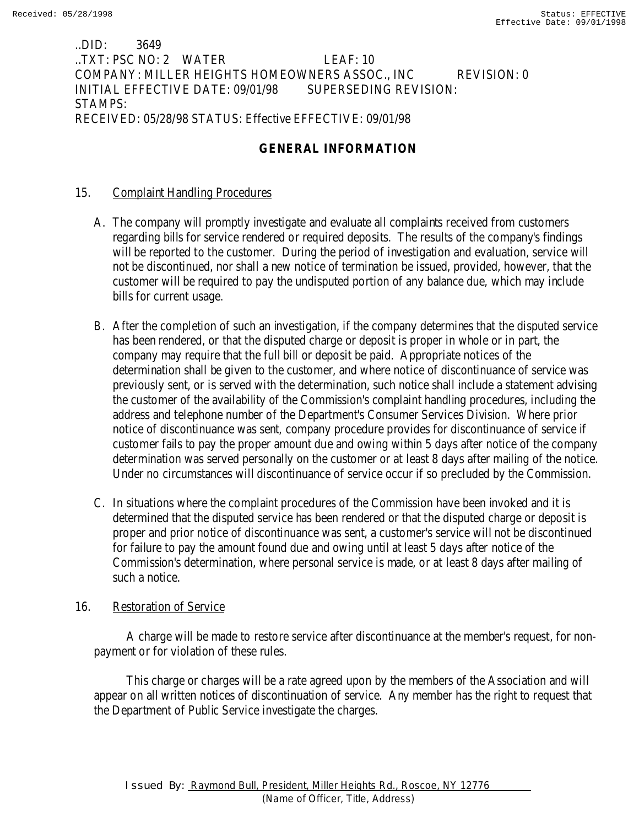## ..DID: 3649 ..TXT: PSC NO: 2 WATER LEAF: 10 COMPANY: MILLER HEIGHTS HOMEOWNERS ASSOC., INC REVISION: 0 INITIAL EFFECTIVE DATE: 09/01/98 SUPERSEDING REVISION: STAMPS: RECEIVED: 05/28/98 STATUS: Effective EFFECTIVE: 09/01/98

# **GENERAL INFORMATION**

## 15. Complaint Handling Procedures

- A. The company will promptly investigate and evaluate all complaints received from customers regarding bills for service rendered or required deposits. The results of the company's findings will be reported to the customer. During the period of investigation and evaluation, service will not be discontinued, nor shall a new notice of termination be issued, provided, however, that the customer will be required to pay the undisputed portion of any balance due, which may include bills for current usage.
- B. After the completion of such an investigation, if the company determines that the disputed service has been rendered, or that the disputed charge or deposit is proper in whole or in part, the company may require that the full bill or deposit be paid. Appropriate notices of the determination shall be given to the customer, and where notice of discontinuance of service was previously sent, or is served with the determination, such notice shall include a statement advising the customer of the availability of the Commission's complaint handling procedures, including the address and telephone number of the Department's Consumer Services Division. Where prior notice of discontinuance was sent, company procedure provides for discontinuance of service if customer fails to pay the proper amount due and owing within 5 days after notice of the company determination was served personally on the customer or at least 8 days after mailing of the notice. Under no circumstances will discontinuance of service occur if so precluded by the Commission.
- C. In situations where the complaint procedures of the Commission have been invoked and it is determined that the disputed service has been rendered or that the disputed charge or deposit is proper and prior notice of discontinuance was sent, a customer's service will not be discontinued for failure to pay the amount found due and owing until at least 5 days after notice of the Commission's determination, where personal service is made, or at least 8 days after mailing of such a notice.

## 16. Restoration of Service

 A charge will be made to restore service after discontinuance at the member's request, for nonpayment or for violation of these rules.

 This charge or charges will be a rate agreed upon by the members of the Association and will appear on all written notices of discontinuation of service. Any member has the right to request that the Department of Public Service investigate the charges.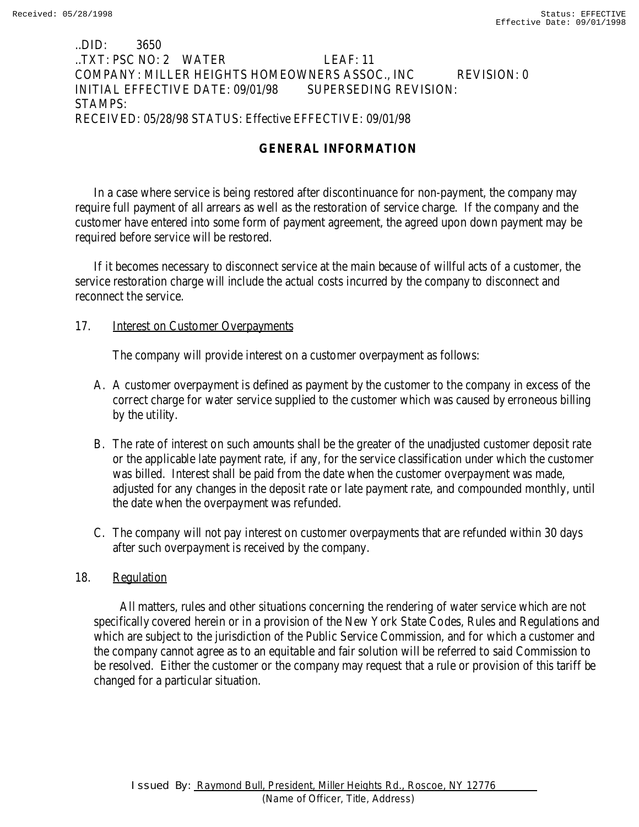### ..DID: 3650 ..TXT: PSC NO: 2 WATER LEAF: 11 COMPANY: MILLER HEIGHTS HOMEOWNERS ASSOC., INC REVISION: 0 INITIAL EFFECTIVE DATE: 09/01/98 SUPERSEDING REVISION: STAMPS: RECEIVED: 05/28/98 STATUS: Effective EFFECTIVE: 09/01/98

# **GENERAL INFORMATION**

In a case where service is being restored after discontinuance for non-payment, the company may require full payment of all arrears as well as the restoration of service charge. If the company and the customer have entered into some form of payment agreement, the agreed upon down payment may be required before service will be restored.

If it becomes necessary to disconnect service at the main because of willful acts of a customer, the service restoration charge will include the actual costs incurred by the company to disconnect and reconnect the service.

# 17. **Interest on Customer Overpayments**

The company will provide interest on a customer overpayment as follows:

- A. A customer overpayment is defined as payment by the customer to the company in excess of the correct charge for water service supplied to the customer which was caused by erroneous billing by the utility.
- B. The rate of interest on such amounts shall be the greater of the unadjusted customer deposit rate or the applicable late payment rate, if any, for the service classification under which the customer was billed. Interest shall be paid from the date when the customer overpayment was made, adjusted for any changes in the deposit rate or late payment rate, and compounded monthly, until the date when the overpayment was refunded.
- C. The company will not pay interest on customer overpayments that are refunded within 30 days after such overpayment is received by the company.

# 18. Regulation

 All matters, rules and other situations concerning the rendering of water service which are not specifically covered herein or in a provision of the New York State Codes, Rules and Regulations and which are subject to the jurisdiction of the Public Service Commission, and for which a customer and the company cannot agree as to an equitable and fair solution will be referred to said Commission to be resolved. Either the customer or the company may request that a rule or provision of this tariff be changed for a particular situation.